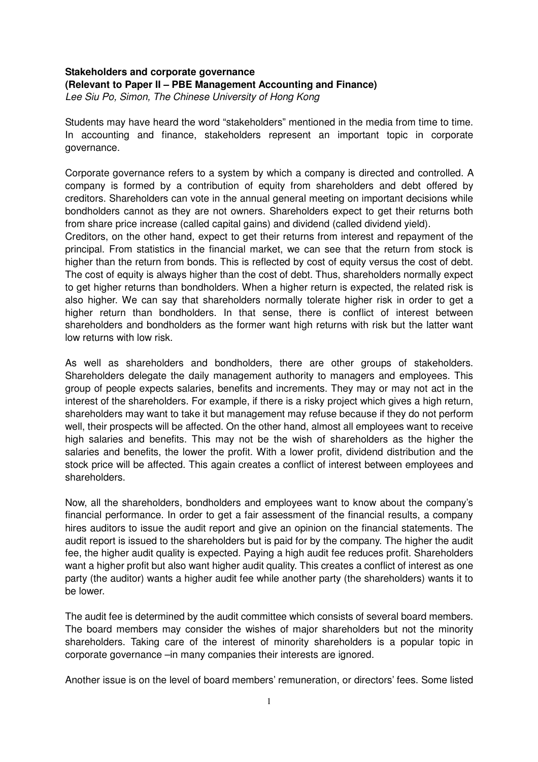## **Stakeholders and corporate governance (Relevant to Paper II – PBE Management Accounting and Finance)**  Lee Siu Po, Simon, The Chinese University of Hong Kong

Students may have heard the word "stakeholders" mentioned in the media from time to time. In accounting and finance, stakeholders represent an important topic in corporate governance.

Corporate governance refers to a system by which a company is directed and controlled. A company is formed by a contribution of equity from shareholders and debt offered by creditors. Shareholders can vote in the annual general meeting on important decisions while bondholders cannot as they are not owners. Shareholders expect to get their returns both from share price increase (called capital gains) and dividend (called dividend yield).

Creditors, on the other hand, expect to get their returns from interest and repayment of the principal. From statistics in the financial market, we can see that the return from stock is higher than the return from bonds. This is reflected by cost of equity versus the cost of debt. The cost of equity is always higher than the cost of debt. Thus, shareholders normally expect to get higher returns than bondholders. When a higher return is expected, the related risk is also higher. We can say that shareholders normally tolerate higher risk in order to get a higher return than bondholders. In that sense, there is conflict of interest between shareholders and bondholders as the former want high returns with risk but the latter want low returns with low risk.

As well as shareholders and bondholders, there are other groups of stakeholders. Shareholders delegate the daily management authority to managers and employees. This group of people expects salaries, benefits and increments. They may or may not act in the interest of the shareholders. For example, if there is a risky project which gives a high return, shareholders may want to take it but management may refuse because if they do not perform well, their prospects will be affected. On the other hand, almost all employees want to receive high salaries and benefits. This may not be the wish of shareholders as the higher the salaries and benefits, the lower the profit. With a lower profit, dividend distribution and the stock price will be affected. This again creates a conflict of interest between employees and shareholders.

Now, all the shareholders, bondholders and employees want to know about the company's financial performance. In order to get a fair assessment of the financial results, a company hires auditors to issue the audit report and give an opinion on the financial statements. The audit report is issued to the shareholders but is paid for by the company. The higher the audit fee, the higher audit quality is expected. Paying a high audit fee reduces profit. Shareholders want a higher profit but also want higher audit quality. This creates a conflict of interest as one party (the auditor) wants a higher audit fee while another party (the shareholders) wants it to be lower.

The audit fee is determined by the audit committee which consists of several board members. The board members may consider the wishes of major shareholders but not the minority shareholders. Taking care of the interest of minority shareholders is a popular topic in corporate governance –in many companies their interests are ignored.

Another issue is on the level of board members' remuneration, or directors' fees. Some listed